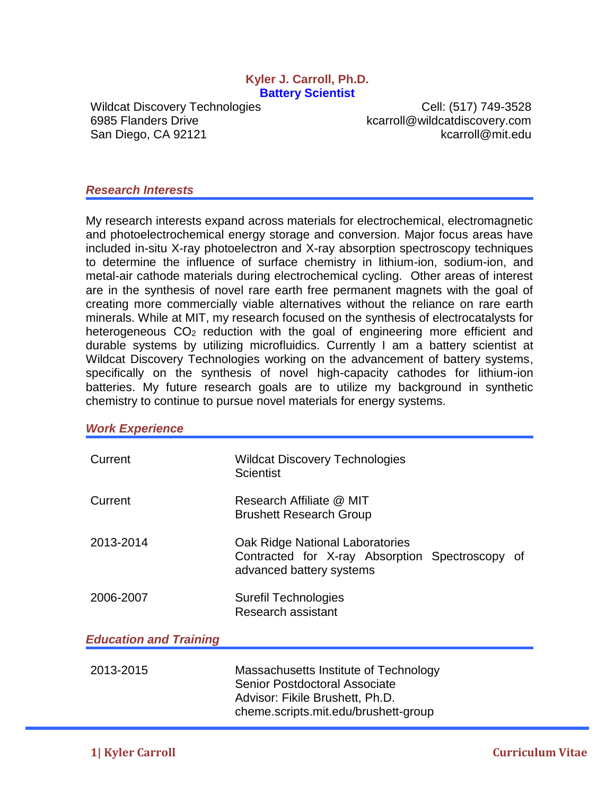#### **Kyler J. Carroll, Ph.D. Battery Scientist**

Wildcat Discovery Technologies Cell: (517) 749-3528 6985 Flanders Drive **Konflict State Controll** extending the kcarroll@wildcatdiscovery.com San Diego, CA 92121 kcarroll@mit.edu

#### *Research Interests*

My research interests expand across materials for electrochemical, electromagnetic and photoelectrochemical energy storage and conversion. Major focus areas have included in-situ X-ray photoelectron and X-ray absorption spectroscopy techniques to determine the influence of surface chemistry in lithium-ion, sodium-ion, and metal-air cathode materials during electrochemical cycling. Other areas of interest are in the synthesis of novel rare earth free permanent magnets with the goal of creating more commercially viable alternatives without the reliance on rare earth minerals. While at MIT, my research focused on the synthesis of electrocatalysts for heterogeneous CO<sub>2</sub> reduction with the goal of engineering more efficient and durable systems by utilizing microfluidics. Currently I am a battery scientist at Wildcat Discovery Technologies working on the advancement of battery systems, specifically on the synthesis of novel high-capacity cathodes for lithium-ion batteries. My future research goals are to utilize my background in synthetic chemistry to continue to pursue novel materials for energy systems.

#### *Work Experience*

| Current                       | Wildcat Discovery Technologies<br><b>Scientist</b>                                                                                                |
|-------------------------------|---------------------------------------------------------------------------------------------------------------------------------------------------|
| Current                       | Research Affiliate @ MIT<br><b>Brushett Research Group</b>                                                                                        |
| 2013-2014                     | Oak Ridge National Laboratories<br>Contracted for X-ray Absorption Spectroscopy of<br>advanced battery systems                                    |
| 2006-2007                     | Surefil Technologies<br>Research assistant                                                                                                        |
| <b>Education and Training</b> |                                                                                                                                                   |
| 2013-2015                     | Massachusetts Institute of Technology<br>Senior Postdoctoral Associate<br>Advisor: Fikile Brushett, Ph.D.<br>cheme.scripts.mit.edu/brushett-group |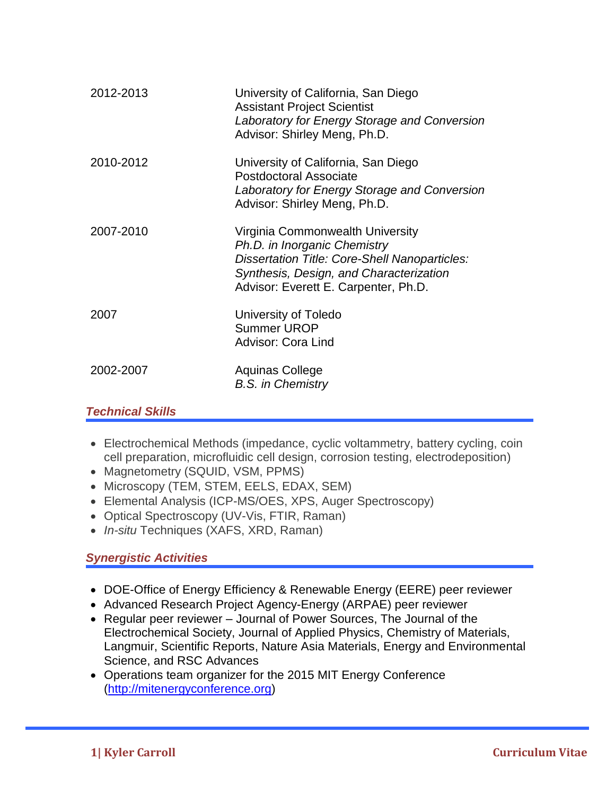| 2012-2013 | University of California, San Diego<br><b>Assistant Project Scientist</b><br>Laboratory for Energy Storage and Conversion<br>Advisor: Shirley Meng, Ph.D.                                                   |
|-----------|-------------------------------------------------------------------------------------------------------------------------------------------------------------------------------------------------------------|
| 2010-2012 | University of California, San Diego<br><b>Postdoctoral Associate</b><br>Laboratory for Energy Storage and Conversion<br>Advisor: Shirley Meng, Ph.D.                                                        |
| 2007-2010 | Virginia Commonwealth University<br>Ph.D. in Inorganic Chemistry<br><b>Dissertation Title: Core-Shell Nanoparticles:</b><br>Synthesis, Design, and Characterization<br>Advisor: Everett E. Carpenter, Ph.D. |
| 2007      | University of Toledo<br><b>Summer UROP</b><br><b>Advisor: Cora Lind</b>                                                                                                                                     |
| 2002-2007 | Aquinas College<br><b>B.S.</b> in Chemistry                                                                                                                                                                 |

## *Technical Skills*

- Electrochemical Methods (impedance, cyclic voltammetry, battery cycling, coin cell preparation, microfluidic cell design, corrosion testing, electrodeposition)
- Magnetometry (SQUID, VSM, PPMS)
- Microscopy (TEM, STEM, EELS, EDAX, SEM)
- Elemental Analysis (ICP-MS/OES, XPS, Auger Spectroscopy)
- Optical Spectroscopy (UV-Vis, FTIR, Raman)
- *In-situ* Techniques (XAFS, XRD, Raman)

# *Synergistic Activities*

- DOE-Office of Energy Efficiency & Renewable Energy (EERE) peer reviewer
- Advanced Research Project Agency-Energy (ARPAE) peer reviewer
- Regular peer reviewer Journal of Power Sources, The Journal of the Electrochemical Society, Journal of Applied Physics, Chemistry of Materials, Langmuir, Scientific Reports, Nature Asia Materials, Energy and Environmental Science, and RSC Advances
- Operations team organizer for the 2015 MIT Energy Conference [\(http://mitenergyconference.org\)](http://mitenergyconference.org/)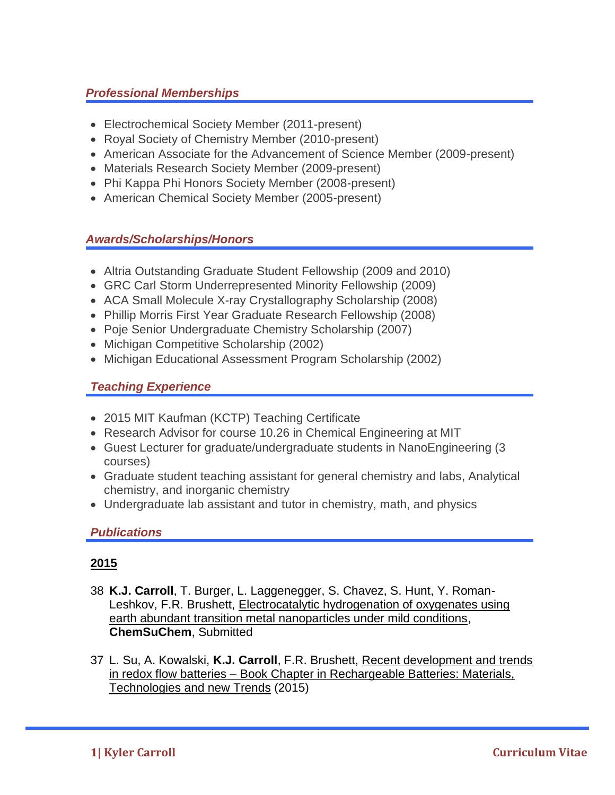# *Professional Memberships*

- Electrochemical Society Member (2011-present)
- Royal Society of Chemistry Member (2010-present)
- American Associate for the Advancement of Science Member (2009-present)
- Materials Research Society Member (2009-present)
- Phi Kappa Phi Honors Society Member (2008-present)
- American Chemical Society Member (2005-present)

## *Awards/Scholarships/Honors*

- Altria Outstanding Graduate Student Fellowship (2009 and 2010)
- GRC Carl Storm Underrepresented Minority Fellowship (2009)
- ACA Small Molecule X-ray Crystallography Scholarship (2008)
- Phillip Morris First Year Graduate Research Fellowship (2008)
- Poje Senior Undergraduate Chemistry Scholarship (2007)
- Michigan Competitive Scholarship (2002)
- Michigan Educational Assessment Program Scholarship (2002)

# *Teaching Experience*

- 2015 MIT Kaufman (KCTP) Teaching Certificate
- Research Advisor for course 10.26 in Chemical Engineering at MIT
- Guest Lecturer for graduate/undergraduate students in NanoEngineering (3 courses)
- Graduate student teaching assistant for general chemistry and labs, Analytical chemistry, and inorganic chemistry
- Undergraduate lab assistant and tutor in chemistry, math, and physics

## *Publications*

- 38 **K.J. Carroll**, T. Burger, L. Laggenegger, S. Chavez, S. Hunt, Y. Roman-Leshkov, F.R. Brushett, Electrocatalytic hydrogenation of oxygenates using earth abundant transition metal nanoparticles under mild conditions, **ChemSuChem**, Submitted
- 37 L. Su, A. Kowalski, **K.J. Carroll**, F.R. Brushett, Recent development and trends in redox flow batteries – Book Chapter in Rechargeable Batteries: Materials, Technologies and new Trends (2015)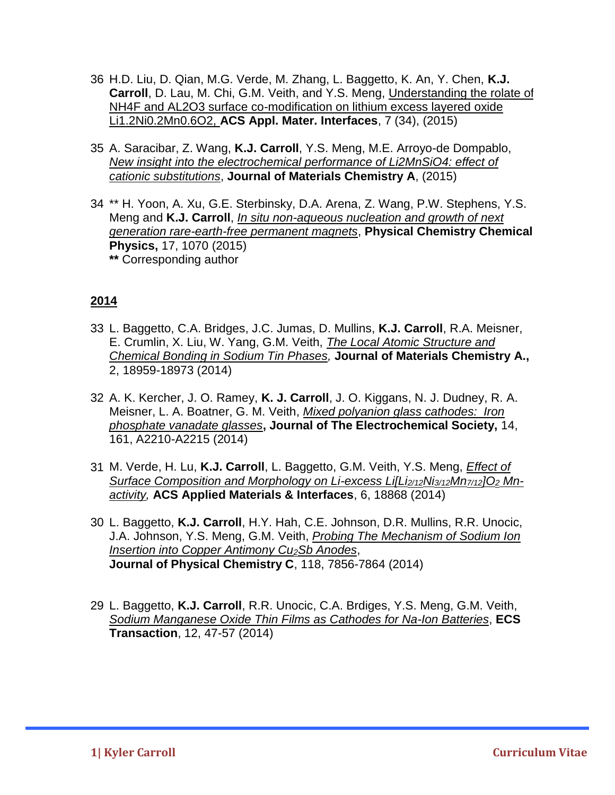- 36 H.D. Liu, D. Qian, M.G. Verde, M. Zhang, L. Baggetto, K. An, Y. Chen, **K.J. Carroll**, D. Lau, M. Chi, G.M. Veith, and Y.S. Meng, Understanding the rolate of NH4F and AL2O3 surface co-modification on lithium excess layered oxide Li1.2Ni0.2Mn0.6O2, **ACS Appl. Mater. Interfaces**, 7 (34), (2015)
- 35 A. Saracibar, Z. Wang, **K.J. Carroll**, Y.S. Meng, M.E. Arroyo-de Dompablo, *New insight into the electrochemical performance of Li2MnSiO4: effect of cationic substitutions*, **Journal of Materials Chemistry A**, (2015)
- 34 \*\* H. Yoon, A. Xu, G.E. Sterbinsky, D.A. Arena, Z. Wang, P.W. Stephens, Y.S. Meng and **K.J. Carroll**, *In situ non-aqueous nucleation and growth of next generation rare-earth-free permanent magnets*, **Physical Chemistry Chemical Physics,** 17, 1070 (2015) **\*\*** Corresponding author

- 33 L. Baggetto, C.A. Bridges, J.C. Jumas, D. Mullins, **K.J. Carroll**, R.A. Meisner, E. Crumlin, X. Liu, W. Yang, G.M. Veith, *The Local Atomic Structure and Chemical Bonding in Sodium Tin Phases,* **Journal of Materials Chemistry A.,**  2, 18959-18973 (2014)
- 32 A. K. Kercher, J. O. Ramey, **K. J. Carroll**, J. O. Kiggans, N. J. Dudney, R. A. Meisner, L. A. Boatner, G. M. Veith, *Mixed polyanion glass cathodes: Iron phosphate vanadate glasses***, Journal of The Electrochemical Society,** 14, 161, A2210-A2215 (2014)
- 31 M. Verde, H. Lu, **K.J. Carroll**, L. Baggetto, G.M. Veith, Y.S. Meng, *Effect of Surface Composition and Morphology on Li-excess Li[Li2/12Ni3/12Mn7/12]O<sup>2</sup> Mnactivity,* **ACS Applied Materials & Interfaces**, 6, 18868 (2014)
- 30 L. Baggetto, **K.J. Carroll**, H.Y. Hah, C.E. Johnson, D.R. Mullins, R.R. Unocic, J.A. Johnson, Y.S. Meng, G.M. Veith, *Probing The Mechanism of Sodium Ion Insertion into Copper Antimony Cu2Sb Anodes*, **Journal of Physical Chemistry C**, 118, 7856-7864 (2014)
- 29 L. Baggetto, **K.J. Carroll**, R.R. Unocic, C.A. Brdiges, Y.S. Meng, G.M. Veith, *Sodium Manganese Oxide Thin Films as Cathodes for Na-Ion Batteries*, **ECS Transaction**, 12, 47-57 (2014)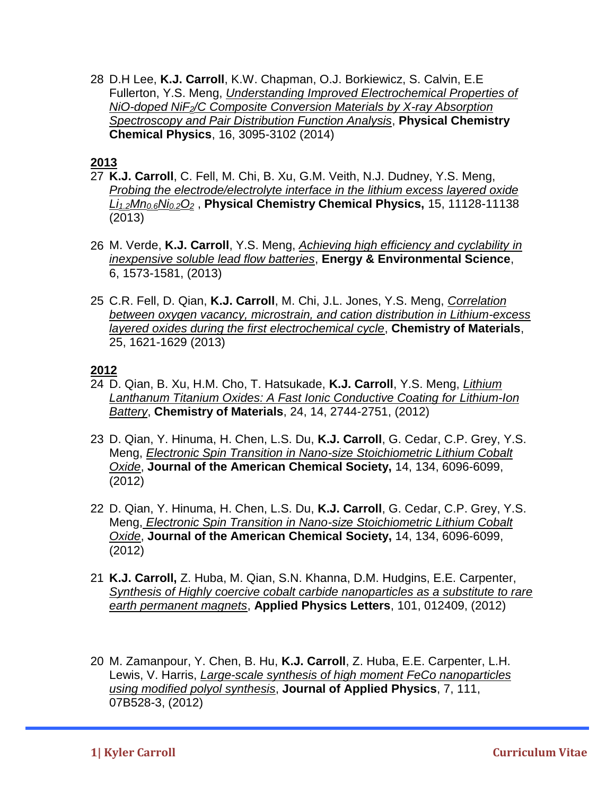28 D.H Lee, **K.J. Carroll**, K.W. Chapman, O.J. Borkiewicz, S. Calvin, E.E Fullerton, Y.S. Meng, *Understanding Improved Electrochemical Properties of NiO-doped NiF2/C Composite Conversion Materials by X-ray Absorption Spectroscopy and Pair Distribution Function Analysis*, **Physical Chemistry Chemical Physics**, 16, 3095-3102 (2014)

### **2013**

- 27 **K.J. Carroll**, C. Fell, M. Chi, B. Xu, G.M. Veith, N.J. Dudney, Y.S. Meng, *Probing the electrode/electrolyte interface in the lithium excess layered oxide Li1.2Mn0.6Ni0.2O<sup>2</sup>* , **Physical Chemistry Chemical Physics,** 15, 11128-11138 (2013)
- 26 M. Verde, **K.J. Carroll**, Y.S. Meng, *Achieving high efficiency and cyclability in inexpensive soluble lead flow batteries*, **Energy & Environmental Science**, 6, 1573-1581, (2013)
- 25 C.R. Fell, D. Qian, **K.J. Carroll**, M. Chi, J.L. Jones, Y.S. Meng, *Correlation between oxygen vacancy, microstrain, and cation distribution in Lithium-excess layered oxides during the first electrochemical cycle*, **Chemistry of Materials**, 25, 1621-1629 (2013)

- 24 D. Qian, B. Xu, H.M. Cho, T. Hatsukade, **K.J. Carroll**, Y.S. Meng, *Lithium Lanthanum Titanium Oxides: A Fast Ionic Conductive Coating for Lithium-Ion Battery*, **Chemistry of Materials**, 24, 14, 2744-2751, (2012)
- 23 D. Qian, Y. Hinuma, H. Chen, L.S. Du, **K.J. Carroll**, G. Cedar, C.P. Grey, Y.S. Meng, *Electronic Spin Transition in Nano-size Stoichiometric Lithium Cobalt Oxide*, **Journal of the American Chemical Society,** 14, 134, 6096-6099, (2012)
- 22 D. Qian, Y. Hinuma, H. Chen, L.S. Du, **K.J. Carroll**, G. Cedar, C.P. Grey, Y.S. Meng, *Electronic Spin Transition in Nano-size Stoichiometric Lithium Cobalt Oxide*, **Journal of the American Chemical Society,** 14, 134, 6096-6099, (2012)
- 21 **K.J. Carroll,** Z. Huba, M. Qian, S.N. Khanna, D.M. Hudgins, E.E. Carpenter, *Synthesis of Highly coercive cobalt carbide nanoparticles as a substitute to rare earth permanent magnets*, **Applied Physics Letters**, 101, 012409, (2012)
- 20 M. Zamanpour, Y. Chen, B. Hu, **K.J. Carroll**, Z. Huba, E.E. Carpenter, L.H. Lewis, V. Harris, *Large-scale synthesis of high moment FeCo nanoparticles using modified polyol synthesis*, **Journal of Applied Physics**, 7, 111, 07B528-3, (2012)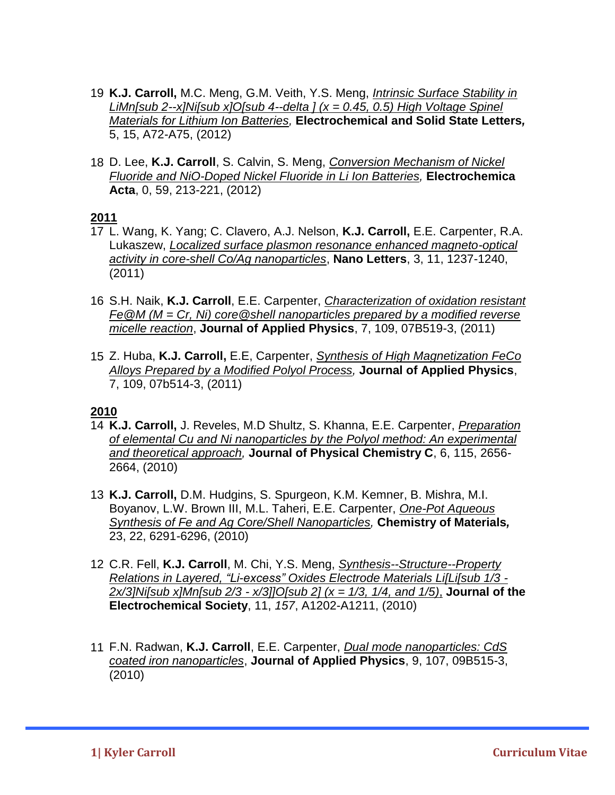- 19 **K.J. Carroll,** M.C. Meng, G.M. Veith, Y.S. Meng, *Intrinsic Surface Stability in LiMn[sub 2--x]Ni[sub x]O[sub 4--delta ] (x = 0.45, 0.5) High Voltage Spinel Materials for Lithium Ion Batteries,* **Electrochemical and Solid State Letters***,*  5, 15, A72-A75, (2012)
- 18 D. Lee, **K.J. Carroll**, S. Calvin, S. Meng, *Conversion Mechanism of Nickel Fluoride and NiO-Doped Nickel Fluoride in Li Ion Batteries,* **Electrochemica Acta**, 0, 59, 213-221, (2012)

#### **2011**

- 17 L. Wang, K. Yang; C. Clavero, A.J. Nelson, **K.J. Carroll,** E.E. Carpenter, R.A. Lukaszew, *Localized surface plasmon resonance enhanced magneto-optical activity in core-shell Co/Ag nanoparticles*, **Nano Letters**, 3, 11, 1237-1240, (2011)
- 16 S.H. Naik, **K.J. Carroll**, E.E. Carpenter, *Characterization of oxidation resistant Fe@M (M = Cr, Ni) core@shell nanoparticles prepared by a modified reverse micelle reaction*, **Journal of Applied Physics**, 7, 109, 07B519-3, (2011)
- 15 Z. Huba, **K.J. Carroll,** E.E, Carpenter, *Synthesis of High Magnetization FeCo Alloys Prepared by a Modified Polyol Process,* **Journal of Applied Physics**, 7, 109, 07b514-3, (2011)

- 14 **K.J. Carroll,** J. Reveles, M.D Shultz, S. Khanna, E.E. Carpenter, *Preparation of elemental Cu and Ni nanoparticles by the Polyol method: An experimental and theoretical approach,* **Journal of Physical Chemistry C**, 6, 115, 2656- 2664, (2010)
- 13 **K.J. Carroll,** D.M. Hudgins, S. Spurgeon, K.M. Kemner, B. Mishra, M.I. Boyanov, L.W. Brown III, M.L. Taheri, E.E. Carpenter, *One-Pot Aqueous Synthesis of Fe and Ag Core/Shell Nanoparticles,* **Chemistry of Materials***,* 23, 22, 6291-6296, (2010)
- 12 C.R. Fell, **K.J. Carroll**, M. Chi, Y.S. Meng, *Synthesis--Structure--Property Relations in Layered, "Li-excess" Oxides Electrode Materials Li[Li[sub 1/3 - 2x/3]Ni[sub x]Mn[sub 2/3 - x/3]]O[sub 2] (x = 1/3, 1/4, and 1/5)*, **Journal of the Electrochemical Society**, 11, *157*, A1202-A1211, (2010)
- 11 F.N. Radwan, **K.J. Carroll**, E.E. Carpenter, *Dual mode nanoparticles: CdS coated iron nanoparticles*, **Journal of Applied Physics**, 9, 107, 09B515-3, (2010)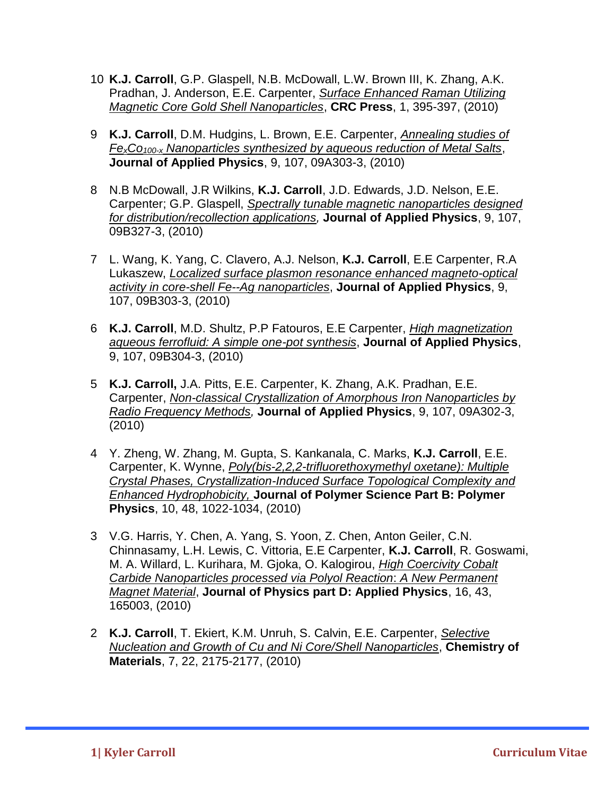- 10 **K.J. Carroll**, G.P. Glaspell, N.B. McDowall, L.W. Brown III, K. Zhang, A.K. Pradhan, J. Anderson, E.E. Carpenter, *Surface Enhanced Raman Utilizing Magnetic Core Gold Shell Nanoparticles*, **CRC Press**, 1, 395-397, (2010)
- 9 **K.J. Carroll**, D.M. Hudgins, L. Brown, E.E. Carpenter, *Annealing studies of FexCo100-x Nanoparticles synthesized by aqueous reduction of Metal Salts*, **Journal of Applied Physics**, 9, 107, 09A303-3, (2010)
- 8 N.B McDowall, J.R Wilkins, **K.J. Carroll**, J.D. Edwards, J.D. Nelson, E.E. Carpenter; G.P. Glaspell, *Spectrally tunable magnetic nanoparticles designed for distribution/recollection applications,* **Journal of Applied Physics**, 9, 107, 09B327-3, (2010)
- 7 L. Wang, K. Yang, C. Clavero, A.J. Nelson, **K.J. Carroll**, E.E Carpenter, R.A Lukaszew, *Localized surface plasmon resonance enhanced magneto-optical activity in core-shell Fe--Ag nanoparticles*, **Journal of Applied Physics**, 9, 107, 09B303-3, (2010)
- 6 **K.J. Carroll**, M.D. Shultz, P.P Fatouros, E.E Carpenter, *High magnetization aqueous ferrofluid: A simple one-pot synthesis*, **Journal of Applied Physics**, 9, 107, 09B304-3, (2010)
- 5 **K.J. Carroll,** J.A. Pitts, E.E. Carpenter, K. Zhang, A.K. Pradhan, E.E. Carpenter, *Non-classical Crystallization of Amorphous Iron Nanoparticles by Radio Frequency Methods,* **Journal of Applied Physics**, 9, 107, 09A302-3, (2010)
- 4 Y. Zheng, W. Zhang, M. Gupta, S. Kankanala, C. Marks, **K.J. Carroll**, E.E. Carpenter, K. Wynne, *Poly(bis-2,2,2-trifluorethoxymethyl oxetane): Multiple Crystal Phases, Crystallization-Induced Surface Topological Complexity and Enhanced Hydrophobicity,* **Journal of Polymer Science Part B: Polymer Physics**, 10, 48, 1022-1034, (2010)
- 3 V.G. Harris, Y. Chen, A. Yang, S. Yoon, Z. Chen, Anton Geiler, C.N. Chinnasamy, L.H. Lewis, C. Vittoria, E.E Carpenter, **K.J. Carroll**, R. Goswami, M. A. Willard, L. Kurihara, M. Gjoka, O. Kalogirou, *High Coercivity Cobalt Carbide Nanoparticles processed via Polyol Reaction*: *A New Permanent Magnet Material*, **Journal of Physics part D: Applied Physics**, 16, 43, 165003, (2010)
- 2 **K.J. Carroll**, T. Ekiert, K.M. Unruh, S. Calvin, E.E. Carpenter, *Selective Nucleation and Growth of Cu and Ni Core/Shell Nanoparticles*, **Chemistry of Materials**, 7, 22, 2175-2177, (2010)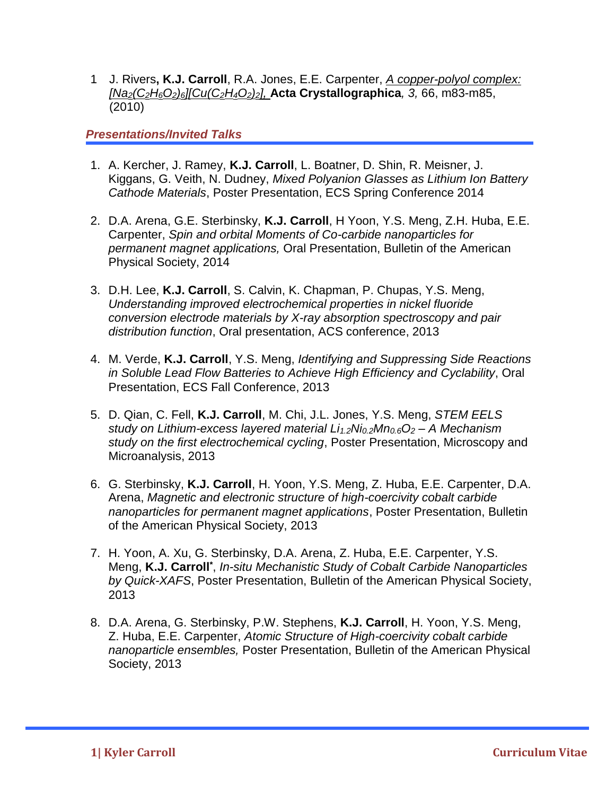1 J. Rivers**, K.J. Carroll**, R.A. Jones, E.E. Carpenter, *A copper-polyol complex: [Na2(C2H6O2)6][Cu(C2H4O2)2],* **Acta Crystallographica***, 3,* 66, m83-m85, (2010)

## *Presentations/Invited Talks*

- 1. A. Kercher, J. Ramey, **K.J. Carroll**, L. Boatner, D. Shin, R. Meisner, J. Kiggans, G. Veith, N. Dudney, *Mixed Polyanion Glasses as Lithium Ion Battery Cathode Materials*, Poster Presentation, ECS Spring Conference 2014
- 2. D.A. Arena, G.E. Sterbinsky, **K.J. Carroll**, H Yoon, Y.S. Meng, Z.H. Huba, E.E. Carpenter, *Spin and orbital Moments of Co-carbide nanoparticles for permanent magnet applications,* Oral Presentation, Bulletin of the American Physical Society, 2014
- 3. D.H. Lee, **K.J. Carroll**, S. Calvin, K. Chapman, P. Chupas, Y.S. Meng, *Understanding improved electrochemical properties in nickel fluoride conversion electrode materials by X-ray absorption spectroscopy and pair distribution function*, Oral presentation, ACS conference, 2013
- 4. M. Verde, **K.J. Carroll**, Y.S. Meng, *Identifying and Suppressing Side Reactions in Soluble Lead Flow Batteries to Achieve High Efficiency and Cyclability*, Oral Presentation, ECS Fall Conference, 2013
- 5. D. Qian, C. Fell, **K.J. Carroll**, M. Chi, J.L. Jones, Y.S. Meng, *STEM EELS study on Lithium-excess layered material Li1.2Ni0.2Mn0.6O<sup>2</sup> – A Mechanism study on the first electrochemical cycling*, Poster Presentation, Microscopy and Microanalysis, 2013
- 6. G. Sterbinsky, **K.J. Carroll**, H. Yoon, Y.S. Meng, Z. Huba, E.E. Carpenter, D.A. Arena, *Magnetic and electronic structure of high-coercivity cobalt carbide nanoparticles for permanent magnet applications*, Poster Presentation, Bulletin of the American Physical Society, 2013
- 7. H. Yoon, A. Xu, G. Sterbinsky, D.A. Arena, Z. Huba, E.E. Carpenter, Y.S. Meng, **K.J. Carroll\*** , *In-situ Mechanistic Study of Cobalt Carbide Nanoparticles by Quick-XAFS*, Poster Presentation, Bulletin of the American Physical Society, 2013
- 8. D.A. Arena, G. Sterbinsky, P.W. Stephens, **K.J. Carroll**, H. Yoon, Y.S. Meng, Z. Huba, E.E. Carpenter, *Atomic Structure of High-coercivity cobalt carbide nanoparticle ensembles,* Poster Presentation, Bulletin of the American Physical Society, 2013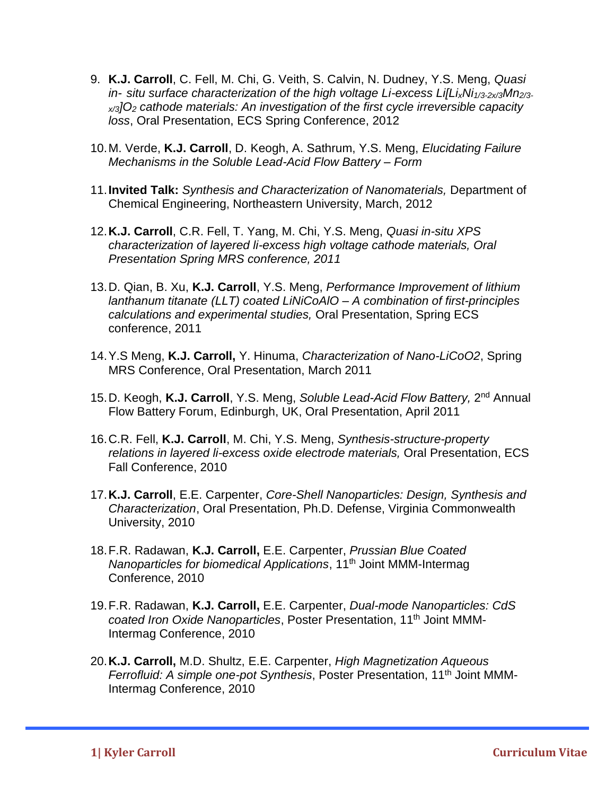- 9. **K.J. Carroll**, C. Fell, M. Chi, G. Veith, S. Calvin, N. Dudney, Y.S. Meng, *Quasi in- situ surface characterization of the high voltage Li-excess Li[LixNi1/3-2x/3Mn2/3 x/3]O<sup>2</sup> cathode materials: An investigation of the first cycle irreversible capacity loss*, Oral Presentation, ECS Spring Conference, 2012
- 10.M. Verde, **K.J. Carroll**, D. Keogh, A. Sathrum, Y.S. Meng, *Elucidating Failure Mechanisms in the Soluble Lead-Acid Flow Battery – Form*
- 11.**Invited Talk:** *Synthesis and Characterization of Nanomaterials,* Department of Chemical Engineering, Northeastern University, March, 2012
- 12.**K.J. Carroll**, C.R. Fell, T. Yang, M. Chi, Y.S. Meng, *Quasi in-situ XPS characterization of layered li-excess high voltage cathode materials, Oral Presentation Spring MRS conference, 2011*
- 13.D. Qian, B. Xu, **K.J. Carroll**, Y.S. Meng, *Performance Improvement of lithium lanthanum titanate (LLT) coated LiNiCoAlO – A combination of first-principles calculations and experimental studies,* Oral Presentation, Spring ECS conference, 2011
- 14.Y.S Meng, **K.J. Carroll,** Y. Hinuma, *Characterization of Nano-LiCoO2*, Spring MRS Conference, Oral Presentation, March 2011
- 15. D. Keogh, K.J. Carroll, Y.S. Meng, Soluble Lead-Acid Flow Battery, 2<sup>nd</sup> Annual Flow Battery Forum, Edinburgh, UK, Oral Presentation, April 2011
- 16.C.R. Fell, **K.J. Carroll**, M. Chi, Y.S. Meng, *Synthesis-structure-property relations in layered li-excess oxide electrode materials,* Oral Presentation, ECS Fall Conference, 2010
- 17.**K.J. Carroll**, E.E. Carpenter, *Core-Shell Nanoparticles: Design, Synthesis and Characterization*, Oral Presentation, Ph.D. Defense, Virginia Commonwealth University, 2010
- 18.F.R. Radawan, **K.J. Carroll,** E.E. Carpenter, *Prussian Blue Coated Nanoparticles for biomedical Applications*, 11th Joint MMM-Intermag Conference, 2010
- 19.F.R. Radawan, **K.J. Carroll,** E.E. Carpenter, *Dual-mode Nanoparticles: CdS coated Iron Oxide Nanoparticles*, Poster Presentation, 11th Joint MMM-Intermag Conference, 2010
- 20.**K.J. Carroll,** M.D. Shultz, E.E. Carpenter, *High Magnetization Aqueous Ferrofluid: A simple one-pot Synthesis*, Poster Presentation, 11th Joint MMM-Intermag Conference, 2010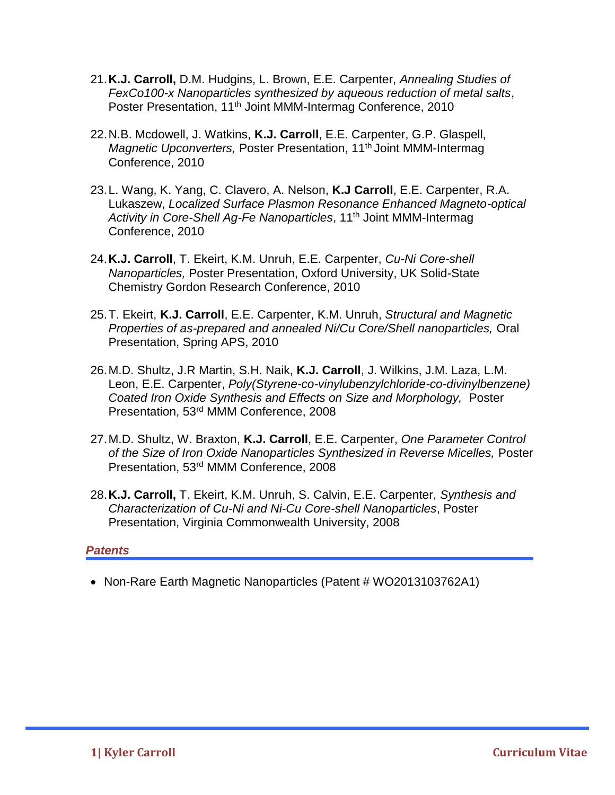- 21.**K.J. Carroll,** D.M. Hudgins, L. Brown, E.E. Carpenter, *Annealing Studies of FexCo100-x Nanoparticles synthesized by aqueous reduction of metal salts*, Poster Presentation, 11<sup>th</sup> Joint MMM-Intermag Conference, 2010
- 22.N.B. Mcdowell, J. Watkins, **K.J. Carroll**, E.E. Carpenter, G.P. Glaspell, *Magnetic Upconverters, Poster Presentation, 11<sup>th</sup> Joint MMM-Intermag* Conference, 2010
- 23.L. Wang, K. Yang, C. Clavero, A. Nelson, **K.J Carroll**, E.E. Carpenter, R.A. Lukaszew, *Localized Surface Plasmon Resonance Enhanced Magneto-optical Activity in Core-Shell Ag-Fe Nanoparticles*, 11th Joint MMM-Intermag Conference, 2010
- 24.**K.J. Carroll**, T. Ekeirt, K.M. Unruh, E.E. Carpenter, *Cu-Ni Core-shell Nanoparticles,* Poster Presentation, Oxford University, UK Solid-State Chemistry Gordon Research Conference, 2010
- 25.T. Ekeirt, **K.J. Carroll**, E.E. Carpenter, K.M. Unruh, *Structural and Magnetic Properties of as-prepared and annealed Ni/Cu Core/Shell nanoparticles,* Oral Presentation, Spring APS, 2010
- 26.M.D. Shultz, J.R Martin, S.H. Naik, **K.J. Carroll**, J. Wilkins, J.M. Laza, L.M. Leon, E.E. Carpenter, *Poly(Styrene-co-vinylubenzylchloride-co-divinylbenzene) Coated Iron Oxide Synthesis and Effects on Size and Morphology,* Poster Presentation, 53rd MMM Conference, 2008
- 27.M.D. Shultz, W. Braxton, **K.J. Carroll**, E.E. Carpenter, *One Parameter Control of the Size of Iron Oxide Nanoparticles Synthesized in Reverse Micelles,* Poster Presentation, 53rd MMM Conference, 2008
- 28.**K.J. Carroll,** T. Ekeirt, K.M. Unruh, S. Calvin, E.E. Carpenter, *Synthesis and Characterization of Cu-Ni and Ni-Cu Core-shell Nanoparticles*, Poster Presentation, Virginia Commonwealth University, 2008

### *Patents*

• Non-Rare Earth Magnetic Nanoparticles (Patent # WO2013103762A1)